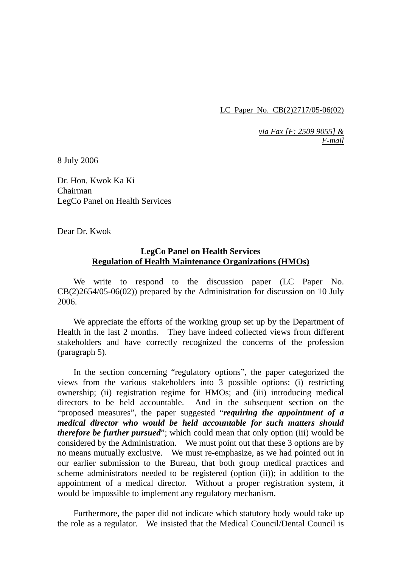LC Paper No. CB(2)2717/05-06(02)

*via Fax [F: 2509 9055] & E-mail*

8 July 2006

Dr. Hon. Kwok Ka Ki Chairman LegCo Panel on Health Services

Dear Dr. Kwok

## **LegCo Panel on Health Services Regulation of Health Maintenance Organizations (HMOs)**

 We write to respond to the discussion paper (LC Paper No. CB(2)2654/05-06(02)) prepared by the Administration for discussion on 10 July 2006.

 We appreciate the efforts of the working group set up by the Department of Health in the last 2 months. They have indeed collected views from different stakeholders and have correctly recognized the concerns of the profession (paragraph 5).

 In the section concerning "regulatory options", the paper categorized the views from the various stakeholders into 3 possible options: (i) restricting ownership; (ii) registration regime for HMOs; and (iii) introducing medical directors to be held accountable. And in the subsequent section on the "proposed measures", the paper suggested "*requiring the appointment of a medical director who would be held accountable for such matters should therefore be further pursued*"; which could mean that only option (iii) would be considered by the Administration. We must point out that these 3 options are by no means mutually exclusive. We must re-emphasize, as we had pointed out in our earlier submission to the Bureau, that both group medical practices and scheme administrators needed to be registered (option (ii)); in addition to the appointment of a medical director. Without a proper registration system, it would be impossible to implement any regulatory mechanism.

 Furthermore, the paper did not indicate which statutory body would take up the role as a regulator. We insisted that the Medical Council/Dental Council is